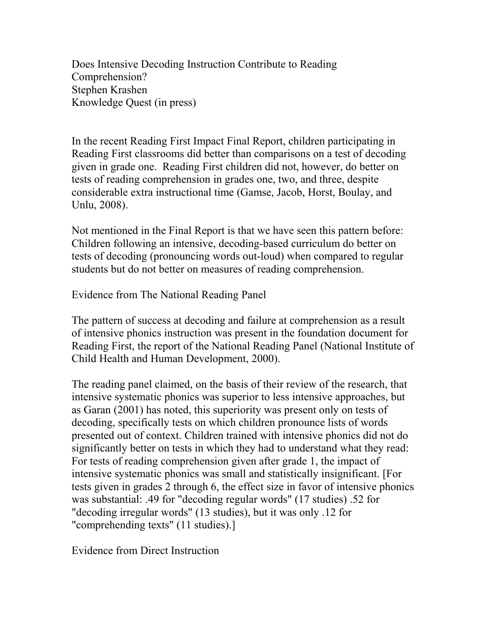Does Intensive Decoding Instruction Contribute to Reading Comprehension? Stephen Krashen Knowledge Quest (in press)

In the recent Reading First Impact Final Report, children participating in Reading First classrooms did better than comparisons on a test of decoding given in grade one. Reading First children did not, however, do better on tests of reading comprehension in grades one, two, and three, despite considerable extra instructional time (Gamse, Jacob, Horst, Boulay, and Unlu, 2008).

Not mentioned in the Final Report is that we have seen this pattern before: Children following an intensive, decoding-based curriculum do better on tests of decoding (pronouncing words out-loud) when compared to regular students but do not better on measures of reading comprehension.

Evidence from The National Reading Panel

The pattern of success at decoding and failure at comprehension as a result of intensive phonics instruction was present in the foundation document for Reading First, the report of the National Reading Panel (National Institute of Child Health and Human Development, 2000).

The reading panel claimed, on the basis of their review of the research, that intensive systematic phonics was superior to less intensive approaches, but as Garan (2001) has noted, this superiority was present only on tests of decoding, specifically tests on which children pronounce lists of words presented out of context. Children trained with intensive phonics did not do significantly better on tests in which they had to understand what they read: For tests of reading comprehension given after grade 1, the impact of intensive systematic phonics was small and statistically insignificant. [For tests given in grades 2 through 6, the effect size in favor of intensive phonics was substantial: .49 for "decoding regular words" (17 studies) .52 for "decoding irregular words" (13 studies), but it was only .12 for "comprehending texts" (11 studies).]

Evidence from Direct Instruction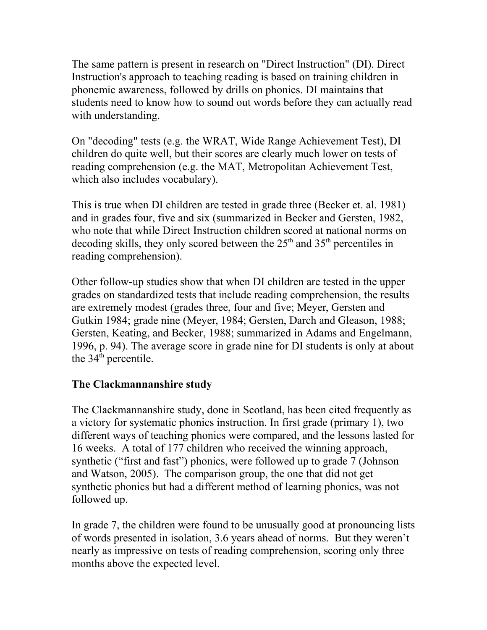The same pattern is present in research on "Direct Instruction" (DI). Direct Instruction's approach to teaching reading is based on training children in phonemic awareness, followed by drills on phonics. DI maintains that students need to know how to sound out words before they can actually read with understanding.

On "decoding" tests (e.g. the WRAT, Wide Range Achievement Test), DI children do quite well, but their scores are clearly much lower on tests of reading comprehension (e.g. the MAT, Metropolitan Achievement Test, which also includes vocabulary).

This is true when DI children are tested in grade three (Becker et. al. 1981) and in grades four, five and six (summarized in Becker and Gersten, 1982, who note that while Direct Instruction children scored at national norms on decoding skills, they only scored between the  $25<sup>th</sup>$  and  $35<sup>th</sup>$  percentiles in reading comprehension).

Other follow-up studies show that when DI children are tested in the upper grades on standardized tests that include reading comprehension, the results are extremely modest (grades three, four and five; Meyer, Gersten and Gutkin 1984; grade nine (Meyer, 1984; Gersten, Darch and Gleason, 1988; Gersten, Keating, and Becker, 1988; summarized in Adams and Engelmann, 1996, p. 94). The average score in grade nine for DI students is only at about the  $34<sup>th</sup>$  percentile.

## **The Clackmannanshire study**

The Clackmannanshire study, done in Scotland, has been cited frequently as a victory for systematic phonics instruction. In first grade (primary 1), two different ways of teaching phonics were compared, and the lessons lasted for 16 weeks. A total of 177 children who received the winning approach, synthetic ("first and fast") phonics, were followed up to grade 7 (Johnson and Watson, 2005). The comparison group, the one that did not get synthetic phonics but had a different method of learning phonics, was not followed up.

In grade 7, the children were found to be unusually good at pronouncing lists of words presented in isolation, 3.6 years ahead of norms. But they weren't nearly as impressive on tests of reading comprehension, scoring only three months above the expected level.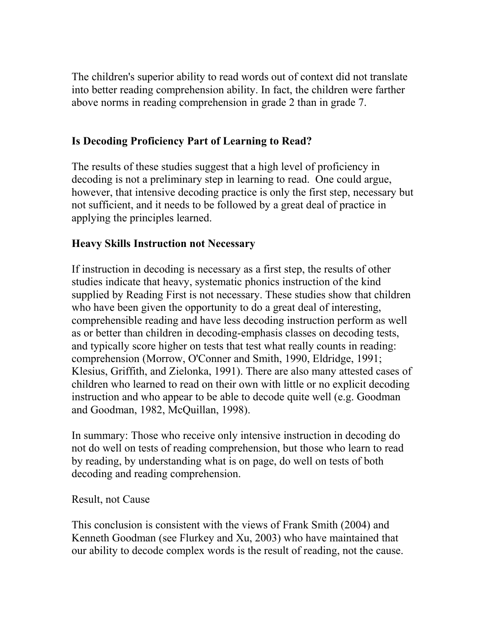The children's superior ability to read words out of context did not translate into better reading comprehension ability. In fact, the children were farther above norms in reading comprehension in grade 2 than in grade 7.

# **Is Decoding Proficiency Part of Learning to Read?**

The results of these studies suggest that a high level of proficiency in decoding is not a preliminary step in learning to read. One could argue, however, that intensive decoding practice is only the first step, necessary but not sufficient, and it needs to be followed by a great deal of practice in applying the principles learned.

## **Heavy Skills Instruction not Necessary**

If instruction in decoding is necessary as a first step, the results of other studies indicate that heavy, systematic phonics instruction of the kind supplied by Reading First is not necessary. These studies show that children who have been given the opportunity to do a great deal of interesting, comprehensible reading and have less decoding instruction perform as well as or better than children in decoding-emphasis classes on decoding tests, and typically score higher on tests that test what really counts in reading: comprehension (Morrow, O'Conner and Smith, 1990, Eldridge, 1991; Klesius, Griffith, and Zielonka, 1991). There are also many attested cases of children who learned to read on their own with little or no explicit decoding instruction and who appear to be able to decode quite well (e.g. Goodman and Goodman, 1982, McQuillan, 1998).

In summary: Those who receive only intensive instruction in decoding do not do well on tests of reading comprehension, but those who learn to read by reading, by understanding what is on page, do well on tests of both decoding and reading comprehension.

## Result, not Cause

This conclusion is consistent with the views of Frank Smith (2004) and Kenneth Goodman (see Flurkey and Xu, 2003) who have maintained that our ability to decode complex words is the result of reading, not the cause.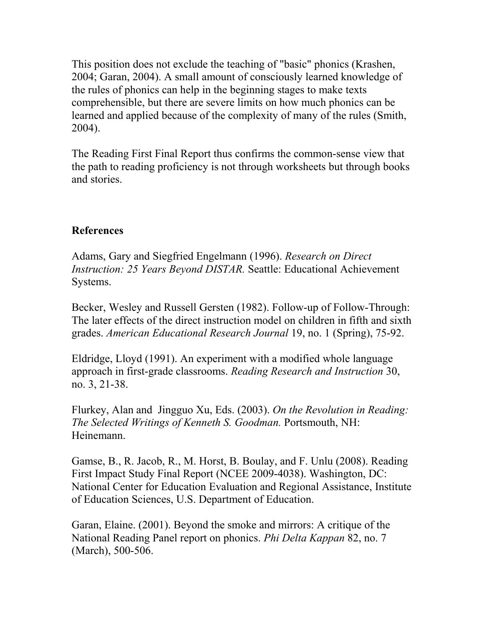This position does not exclude the teaching of "basic" phonics (Krashen, 2004; Garan, 2004). A small amount of consciously learned knowledge of the rules of phonics can help in the beginning stages to make texts comprehensible, but there are severe limits on how much phonics can be learned and applied because of the complexity of many of the rules (Smith, 2004).

The Reading First Final Report thus confirms the common-sense view that the path to reading proficiency is not through worksheets but through books and stories.

## **References**

Adams, Gary and Siegfried Engelmann (1996). *Research on Direct Instruction: 25 Years Beyond DISTAR.* Seattle: Educational Achievement Systems.

Becker, Wesley and Russell Gersten (1982). Follow-up of Follow-Through: The later effects of the direct instruction model on children in fifth and sixth grades. *American Educational Research Journal* 19, no. 1 (Spring), 75-92.

Eldridge, Lloyd (1991). An experiment with a modified whole language approach in first-grade classrooms. *Reading Research and Instruction* 30, no. 3, 21-38.

Flurkey, Alan and Jingguo Xu, Eds. (2003). *On the Revolution in Reading: The Selected Writings of Kenneth S. Goodman.* Portsmouth, NH: Heinemann.

Gamse, B., R. Jacob, R., M. Horst, B. Boulay, and F. Unlu (2008). Reading First Impact Study Final Report (NCEE 2009-4038). Washington, DC: National Center for Education Evaluation and Regional Assistance, Institute of Education Sciences, U.S. Department of Education.

Garan, Elaine. (2001). Beyond the smoke and mirrors: A critique of the National Reading Panel report on phonics. *Phi Delta Kappan* 82, no. 7 (March), 500-506.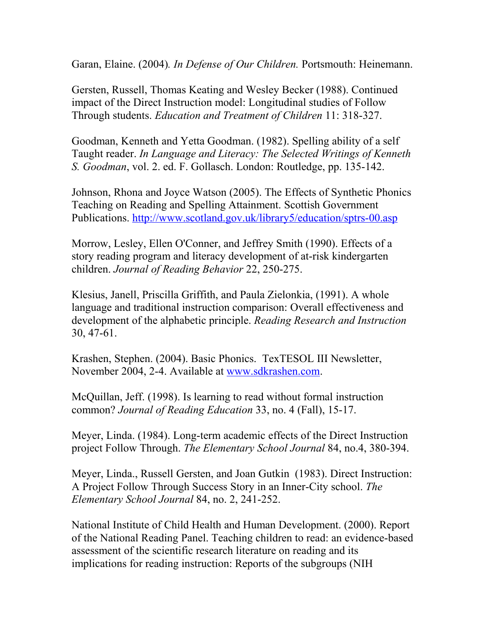Garan, Elaine. (2004)*. In Defense of Our Children.* Portsmouth: Heinemann.

Gersten, Russell, Thomas Keating and Wesley Becker (1988). Continued impact of the Direct Instruction model: Longitudinal studies of Follow Through students. *Education and Treatment of Children* 11: 318-327.

Goodman, Kenneth and Yetta Goodman. (1982). Spelling ability of a self Taught reader. *In Language and Literacy: The Selected Writings of Kenneth S. Goodman*, vol. 2. ed. F. Gollasch. London: Routledge, pp. 135-142.

Johnson, Rhona and Joyce Watson (2005). The Effects of Synthetic Phonics Teaching on Reading and Spelling Attainment. Scottish Government Publications.<http://www.scotland.gov.uk/library5/education/sptrs-00.asp>

Morrow, Lesley, Ellen O'Conner, and Jeffrey Smith (1990). Effects of a story reading program and literacy development of at-risk kindergarten children. *Journal of Reading Behavior* 22, 250-275.

Klesius, Janell, Priscilla Griffith, and Paula Zielonkia, (1991). A whole language and traditional instruction comparison: Overall effectiveness and development of the alphabetic principle. *Reading Research and Instruction* 30, 47-61.

Krashen, Stephen. (2004). Basic Phonics. TexTESOL III Newsletter, November 2004, 2-4. Available at [www.sdkrashen.com.](http://www.sdkrashen.com/)

McQuillan, Jeff. (1998). Is learning to read without formal instruction common? *Journal of Reading Education* 33, no. 4 (Fall), 15-17.

Meyer, Linda. (1984). Long-term academic effects of the Direct Instruction project Follow Through. *The Elementary School Journal* 84, no.4, 380-394.

Meyer, Linda., Russell Gersten, and Joan Gutkin (1983). Direct Instruction: A Project Follow Through Success Story in an Inner-City school. *The Elementary School Journal* 84, no. 2, 241-252.

National Institute of Child Health and Human Development. (2000). Report of the National Reading Panel. Teaching children to read: an evidence-based assessment of the scientific research literature on reading and its implications for reading instruction: Reports of the subgroups (NIH